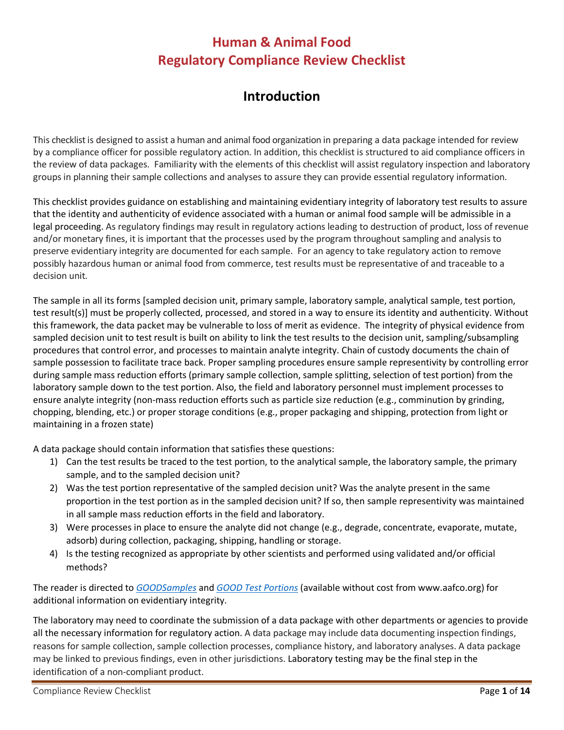#### **Human & Animal Food Regulatory Compliance Review Checklist**

#### **Introduction**

This checklistis designed to assist a human and animal food organization in preparing a data package intended for review by a compliance officer for possible regulatory action. In addition, this checklist is structured to aid compliance officers in the review of data packages. Familiarity with the elements of this checklist will assist regulatory inspection and laboratory groups in planning their sample collections and analyses to assure they can provide essential regulatory information.

This checklist provides guidance on establishing and maintaining evidentiary integrity of laboratory test results to assure that the identity and authenticity of evidence associated with a human or animal food sample will be admissible in a legal proceeding. As regulatory findings may result in regulatory actions leading to destruction of product, loss of revenue and/or monetary fines, it is important that the processes used by the program throughout sampling and analysis to preserve evidentiary integrity are documented for each sample. For an agency to take regulatory action to remove possibly hazardous human or animal food from commerce, test results must be representative of and traceable to a decision unit.

The sample in all its forms [sampled decision unit, primary sample, laboratory sample, analytical sample, test portion, test result(s)] must be properly collected, processed, and stored in a way to ensure its identity and authenticity. Without this framework, the data packet may be vulnerable to loss of merit as evidence. The integrity of physical evidence from sampled decision unit to test result is built on ability to link the test results to the decision unit, sampling/subsampling procedures that control error, and processes to maintain analyte integrity. Chain of custody documents the chain of sample possession to facilitate trace back. Proper sampling procedures ensure sample representivity by controlling error during sample mass reduction efforts (primary sample collection, sample splitting, selection of test portion) from the laboratory sample down to the test portion. Also, the field and laboratory personnel must implement processes to ensure analyte integrity (non-mass reduction efforts such as particle size reduction (e.g., comminution by grinding, chopping, blending, etc.) or proper storage conditions (e.g., proper packaging and shipping, protection from light or maintaining in a frozen state)

A data package should contain information that satisfies these questions:

- 1) Can the test results be traced to the test portion, to the analytical sample, the laboratory sample, the primary sample, and to the sampled decision unit?
- 2) Was the test portion representative of the sampled decision unit? Was the analyte present in the same proportion in the test portion as in the sampled decision unit? If so, then sample representivity was maintained in all sample mass reduction efforts in the field and laboratory.
- 3) Were processes in place to ensure the analyte did not change (e.g., degrade, concentrate, evaporate, mutate, adsorb) during collection, packaging, shipping, handling or storage.
- 4) Is the testing recognized as appropriate by other scientists and performed using validated and/or official methods?

The reader is directed to *[GOODSamples](https://www.aafco.org/Portals/0/SiteContent/Publications/GOODSamples.pdf)* and *[GOOD Test Portions](https://www.aafco.org/Portals/0/SiteContent/Publications/GOODSamples.pdf)* (available without cost from www.aafco.org) for additional information on evidentiary integrity.

The laboratory may need to coordinate the submission of a data package with other departments or agencies to provide all the necessary information for regulatory action. A data package may include data documenting inspection findings, reasons for sample collection, sample collection processes, compliance history, and laboratory analyses. A data package may be linked to previous findings, even in other jurisdictions. Laboratory testing may be the final step in the identification of a non-compliant product.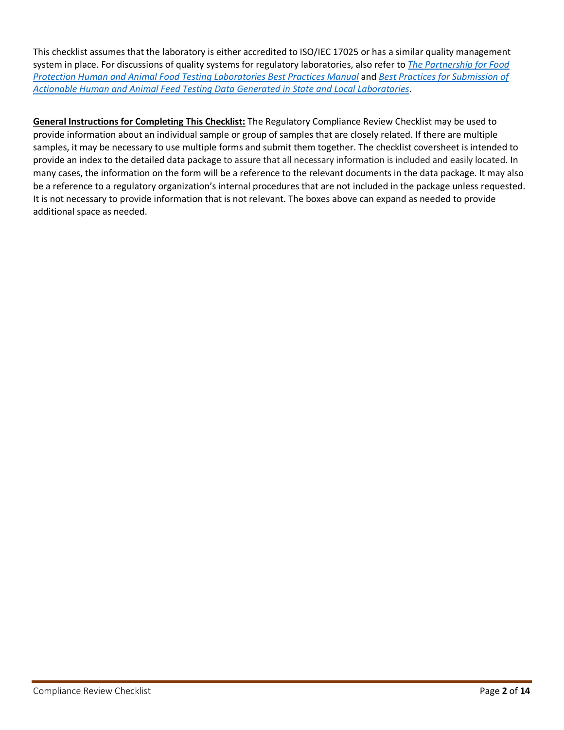This checklist assumes that the laboratory is either accredited to ISO/IEC 17025 or has a similar quality management system in place. For discussions of quality systems for regulatory laboratories, also refer to *[The Partnership for Food](https://www.pfp-ifss.org/ifss-resources/human-and-animal-food-testing-laboratories-best-practices-manual-december-2018/)  [Protection Human and Animal Food Testing Laboratories Best Practices Manual](https://www.pfp-ifss.org/ifss-resources/human-and-animal-food-testing-laboratories-best-practices-manual-december-2018/)* and *[Best Practices for Submission of](https://www.aphl.org/aboutAPHL/publications/Documents/FS-2019Jan-Best-Practices-Human-Animal-Food-Data.pdf)  [Actionable Human and Animal Feed Testing Data Generated in State and Local Laboratories](https://www.aphl.org/aboutAPHL/publications/Documents/FS-2019Jan-Best-Practices-Human-Animal-Food-Data.pdf)*.

**General Instructions for Completing This Checklist:** The Regulatory Compliance Review Checklist may be used to provide information about an individual sample or group of samples that are closely related. If there are multiple samples, it may be necessary to use multiple forms and submit them together. The checklist coversheet is intended to provide an index to the detailed data package to assure that all necessary information is included and easily located. In many cases, the information on the form will be a reference to the relevant documents in the data package. It may also be a reference to a regulatory organization's internal procedures that are not included in the package unless requested. It is not necessary to provide information that is not relevant. The boxes above can expand as needed to provide additional space as needed.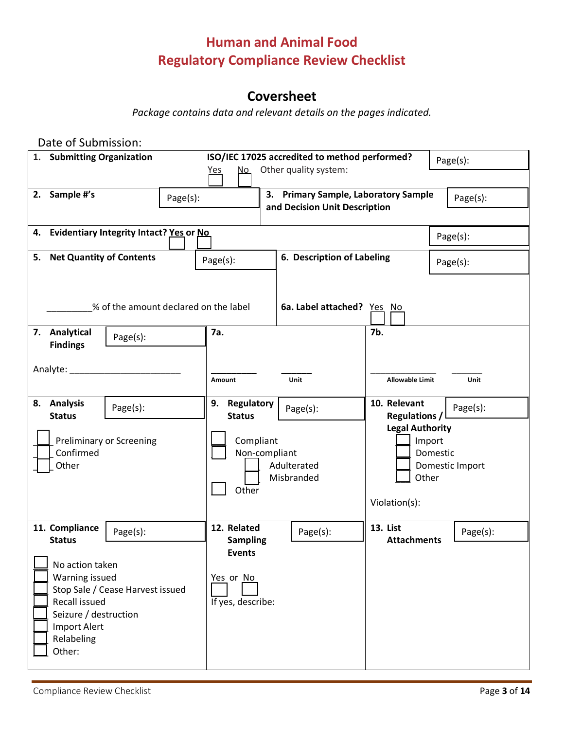## **Human and Animal Food Regulatory Compliance Review Checklist**

### **Coversheet**

*Package contains data and relevant details on the pages indicated.*

| Date of Submission:                                                                                                                                            |                                                 |                                               |                                                  |                                       |
|----------------------------------------------------------------------------------------------------------------------------------------------------------------|-------------------------------------------------|-----------------------------------------------|--------------------------------------------------|---------------------------------------|
| 1. Submitting Organization                                                                                                                                     |                                                 | ISO/IEC 17025 accredited to method performed? |                                                  | Page(s):                              |
|                                                                                                                                                                | <u>No</u><br><u>Yes</u>                         | Other quality system:                         |                                                  |                                       |
| Sample #'s<br>2.<br>Page(s):                                                                                                                                   |                                                 | 3. Primary Sample, Laboratory Sample          |                                                  | Page(s):                              |
|                                                                                                                                                                |                                                 | and Decision Unit Description                 |                                                  |                                       |
| 4. Evidentiary Integrity Intact? Yes or No                                                                                                                     |                                                 |                                               |                                                  | Page(s):                              |
| 5. Net Quantity of Contents                                                                                                                                    | Page(s):                                        | 6. Description of Labeling                    |                                                  | Page(s):                              |
|                                                                                                                                                                |                                                 |                                               |                                                  |                                       |
| % of the amount declared on the label                                                                                                                          |                                                 | 6a. Label attached? Yes No                    |                                                  |                                       |
| 7. Analytical<br>Page(s):<br><b>Findings</b>                                                                                                                   | 7a.                                             |                                               | 7b.                                              |                                       |
|                                                                                                                                                                | Amount                                          | <b>Unit</b>                                   | <b>Allowable Limit</b>                           | <b>Unit</b>                           |
| 8. Analysis<br>Page(s):<br><b>Status</b>                                                                                                                       | 9.<br>Regulatory<br><b>Status</b>               | Page(s):                                      | 10. Relevant<br>Regulations / $\lfloor$          | Page(s):                              |
| <b>Preliminary or Screening</b><br>Confirmed<br>Other                                                                                                          | Compliant<br>Non-compliant<br>Other             | Adulterated<br>Misbranded                     | <b>Legal Authority</b><br>Other<br>Violation(s): | Import<br>Domestic<br>Domestic Import |
| 11. Compliance<br>Page(s):<br><b>Status</b>                                                                                                                    | 12. Related<br><b>Sampling</b>                  | Page(s):                                      | <b>13. List</b><br><b>Attachments</b>            | Page(s):                              |
| No action taken<br>Warning issued<br>Stop Sale / Cease Harvest issued<br>Recall issued<br>Seizure / destruction<br><b>Import Alert</b><br>Relabeling<br>Other: | <b>Events</b><br>Yes or No<br>If yes, describe: |                                               |                                                  |                                       |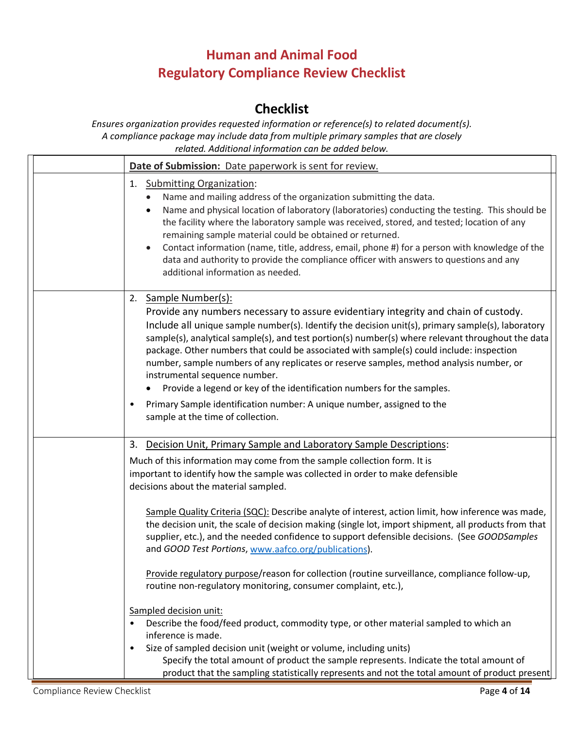# **Human and Animal Food Regulatory Compliance Review Checklist**

#### **Checklist**

*Ensures organization provides requested information or reference(s) to related document(s). A compliance package may include data from multiple primary samples that are closely related. Additional information can be added below.*

| Date of Submission: Date paperwork is sent for review.                                                                                                                                                                                                                                                                                                                                                                                                                                                                                                                                                                                                                                                                                                              |
|---------------------------------------------------------------------------------------------------------------------------------------------------------------------------------------------------------------------------------------------------------------------------------------------------------------------------------------------------------------------------------------------------------------------------------------------------------------------------------------------------------------------------------------------------------------------------------------------------------------------------------------------------------------------------------------------------------------------------------------------------------------------|
| 1. Submitting Organization:<br>Name and mailing address of the organization submitting the data.<br>Name and physical location of laboratory (laboratories) conducting the testing. This should be<br>the facility where the laboratory sample was received, stored, and tested; location of any<br>remaining sample material could be obtained or returned.<br>Contact information (name, title, address, email, phone #) for a person with knowledge of the<br>data and authority to provide the compliance officer with answers to questions and any<br>additional information as needed.                                                                                                                                                                        |
| Sample Number(s):<br>2.<br>Provide any numbers necessary to assure evidentiary integrity and chain of custody.<br>Include all unique sample number(s). Identify the decision unit(s), primary sample(s), laboratory<br>sample(s), analytical sample(s), and test portion(s) number(s) where relevant throughout the data<br>package. Other numbers that could be associated with sample(s) could include: inspection<br>number, sample numbers of any replicates or reserve samples, method analysis number, or<br>instrumental sequence number.<br>Provide a legend or key of the identification numbers for the samples.<br>$\bullet$<br>Primary Sample identification number: A unique number, assigned to the<br>$\bullet$<br>sample at the time of collection. |
| Decision Unit, Primary Sample and Laboratory Sample Descriptions:<br>3.                                                                                                                                                                                                                                                                                                                                                                                                                                                                                                                                                                                                                                                                                             |
| Much of this information may come from the sample collection form. It is<br>important to identify how the sample was collected in order to make defensible<br>decisions about the material sampled.                                                                                                                                                                                                                                                                                                                                                                                                                                                                                                                                                                 |
| Sample Quality Criteria (SQC): Describe analyte of interest, action limit, how inference was made,<br>the decision unit, the scale of decision making (single lot, import shipment, all products from that<br>supplier, etc.), and the needed confidence to support defensible decisions. (See GOODSamples<br>and GOOD Test Portions, www.aafco.org/publications).                                                                                                                                                                                                                                                                                                                                                                                                  |
| Provide regulatory purpose/reason for collection (routine surveillance, compliance follow-up,<br>routine non-regulatory monitoring, consumer complaint, etc.),                                                                                                                                                                                                                                                                                                                                                                                                                                                                                                                                                                                                      |
| Sampled decision unit:<br>Describe the food/feed product, commodity type, or other material sampled to which an<br>$\bullet$<br>inference is made.<br>Size of sampled decision unit (weight or volume, including units)<br>$\bullet$<br>Specify the total amount of product the sample represents. Indicate the total amount of                                                                                                                                                                                                                                                                                                                                                                                                                                     |
| product that the sampling statistically represents and not the total amount of product present                                                                                                                                                                                                                                                                                                                                                                                                                                                                                                                                                                                                                                                                      |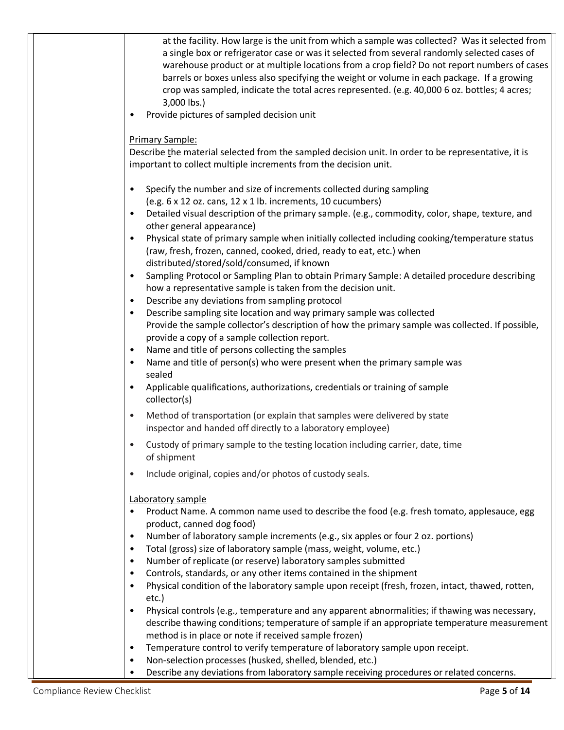| at the facility. How large is the unit from which a sample was collected? Was it selected from              |
|-------------------------------------------------------------------------------------------------------------|
| a single box or refrigerator case or was it selected from several randomly selected cases of                |
| warehouse product or at multiple locations from a crop field? Do not report numbers of cases                |
| barrels or boxes unless also specifying the weight or volume in each package. If a growing                  |
| crop was sampled, indicate the total acres represented. (e.g. 40,000 6 oz. bottles; 4 acres;                |
| 3,000 lbs.)                                                                                                 |
| Provide pictures of sampled decision unit                                                                   |
|                                                                                                             |
|                                                                                                             |
| Primary Sample:                                                                                             |
| Describe the material selected from the sampled decision unit. In order to be representative, it is         |
| important to collect multiple increments from the decision unit.                                            |
|                                                                                                             |
| Specify the number and size of increments collected during sampling                                         |
| (e.g. 6 x 12 oz. cans, 12 x 1 lb. increments, 10 cucumbers)                                                 |
| Detailed visual description of the primary sample. (e.g., commodity, color, shape, texture, and             |
| other general appearance)                                                                                   |
| Physical state of primary sample when initially collected including cooking/temperature status              |
| (raw, fresh, frozen, canned, cooked, dried, ready to eat, etc.) when                                        |
| distributed/stored/sold/consumed, if known                                                                  |
| Sampling Protocol or Sampling Plan to obtain Primary Sample: A detailed procedure describing<br>$\bullet$   |
| how a representative sample is taken from the decision unit.                                                |
| Describe any deviations from sampling protocol                                                              |
| Describe sampling site location and way primary sample was collected<br>$\bullet$                           |
| Provide the sample collector's description of how the primary sample was collected. If possible,            |
| provide a copy of a sample collection report.                                                               |
| Name and title of persons collecting the samples<br>$\bullet$                                               |
| Name and title of person(s) who were present when the primary sample was                                    |
| sealed                                                                                                      |
| Applicable qualifications, authorizations, credentials or training of sample                                |
| collector(s)                                                                                                |
|                                                                                                             |
| Method of transportation (or explain that samples were delivered by state<br>$\bullet$                      |
| inspector and handed off directly to a laboratory employee)                                                 |
| Custody of primary sample to the testing location including carrier, date, time<br>$\bullet$                |
| of shipment                                                                                                 |
| Include original, copies and/or photos of custody seals.<br>$\bullet$                                       |
|                                                                                                             |
| Laboratory sample                                                                                           |
|                                                                                                             |
| Product Name. A common name used to describe the food (e.g. fresh tomato, applesauce, egg                   |
| product, canned dog food)                                                                                   |
| Number of laboratory sample increments (e.g., six apples or four 2 oz. portions)                            |
| Total (gross) size of laboratory sample (mass, weight, volume, etc.)                                        |
| Number of replicate (or reserve) laboratory samples submitted                                               |
| Controls, standards, or any other items contained in the shipment<br>٠                                      |
| Physical condition of the laboratory sample upon receipt (fresh, frozen, intact, thawed, rotten,            |
| etc.)                                                                                                       |
| Physical controls (e.g., temperature and any apparent abnormalities; if thawing was necessary,<br>$\bullet$ |
| describe thawing conditions; temperature of sample if an appropriate temperature measurement                |
| method is in place or note if received sample frozen)                                                       |
| Temperature control to verify temperature of laboratory sample upon receipt.                                |
| Non-selection processes (husked, shelled, blended, etc.)<br>$\bullet$                                       |
| Describe any deviations from laboratory sample receiving procedures or related concerns.                    |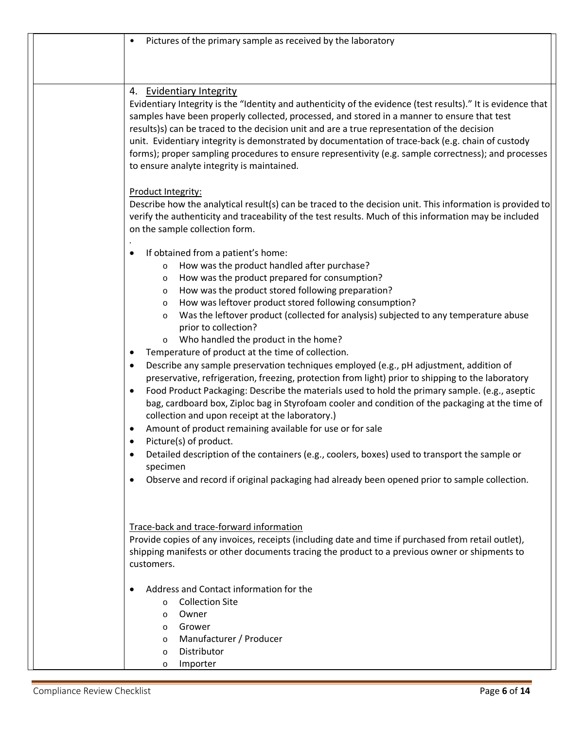| Pictures of the primary sample as received by the laboratory                                                                                                                                                                                                                                                                                                                                                                                                                                                                                                                                                                                                                                                                                                                                                                                                                                                                                                                                                                                                                                                                                                                                                                                                                                              |
|-----------------------------------------------------------------------------------------------------------------------------------------------------------------------------------------------------------------------------------------------------------------------------------------------------------------------------------------------------------------------------------------------------------------------------------------------------------------------------------------------------------------------------------------------------------------------------------------------------------------------------------------------------------------------------------------------------------------------------------------------------------------------------------------------------------------------------------------------------------------------------------------------------------------------------------------------------------------------------------------------------------------------------------------------------------------------------------------------------------------------------------------------------------------------------------------------------------------------------------------------------------------------------------------------------------|
|                                                                                                                                                                                                                                                                                                                                                                                                                                                                                                                                                                                                                                                                                                                                                                                                                                                                                                                                                                                                                                                                                                                                                                                                                                                                                                           |
|                                                                                                                                                                                                                                                                                                                                                                                                                                                                                                                                                                                                                                                                                                                                                                                                                                                                                                                                                                                                                                                                                                                                                                                                                                                                                                           |
| 4. Evidentiary Integrity<br>Evidentiary Integrity is the "Identity and authenticity of the evidence (test results)." It is evidence that<br>samples have been properly collected, processed, and stored in a manner to ensure that test<br>results)s) can be traced to the decision unit and are a true representation of the decision<br>unit. Evidentiary integrity is demonstrated by documentation of trace-back (e.g. chain of custody<br>forms); proper sampling procedures to ensure representivity (e.g. sample correctness); and processes<br>to ensure analyte integrity is maintained.                                                                                                                                                                                                                                                                                                                                                                                                                                                                                                                                                                                                                                                                                                         |
| Product Integrity:<br>Describe how the analytical result(s) can be traced to the decision unit. This information is provided to<br>verify the authenticity and traceability of the test results. Much of this information may be included<br>on the sample collection form.                                                                                                                                                                                                                                                                                                                                                                                                                                                                                                                                                                                                                                                                                                                                                                                                                                                                                                                                                                                                                               |
| If obtained from a patient's home:<br>How was the product handled after purchase?<br>$\circ$<br>How was the product prepared for consumption?<br>$\circ$<br>How was the product stored following preparation?<br>$\circ$<br>How was leftover product stored following consumption?<br>$\circ$<br>Was the leftover product (collected for analysis) subjected to any temperature abuse<br>$\circ$<br>prior to collection?<br>Who handled the product in the home?<br>$\circ$<br>Temperature of product at the time of collection.<br>Describe any sample preservation techniques employed (e.g., pH adjustment, addition of<br>preservative, refrigeration, freezing, protection from light) prior to shipping to the laboratory<br>Food Product Packaging: Describe the materials used to hold the primary sample. (e.g., aseptic<br>$\bullet$<br>bag, cardboard box, Ziploc bag in Styrofoam cooler and condition of the packaging at the time of<br>collection and upon receipt at the laboratory.)<br>Amount of product remaining available for use or for sale<br>Picture(s) of product.<br>Detailed description of the containers (e.g., coolers, boxes) used to transport the sample or<br>specimen<br>Observe and record if original packaging had already been opened prior to sample collection. |
| Trace-back and trace-forward information<br>Provide copies of any invoices, receipts (including date and time if purchased from retail outlet),<br>shipping manifests or other documents tracing the product to a previous owner or shipments to<br>customers.<br>Address and Contact information for the<br><b>Collection Site</b><br>$\circ$<br>Owner<br>$\circ$<br>Grower<br>$\circ$<br>Manufacturer / Producer<br>$\circ$                                                                                                                                                                                                                                                                                                                                                                                                                                                                                                                                                                                                                                                                                                                                                                                                                                                                             |
| Distributor<br>$\circ$<br>Importer<br>O                                                                                                                                                                                                                                                                                                                                                                                                                                                                                                                                                                                                                                                                                                                                                                                                                                                                                                                                                                                                                                                                                                                                                                                                                                                                   |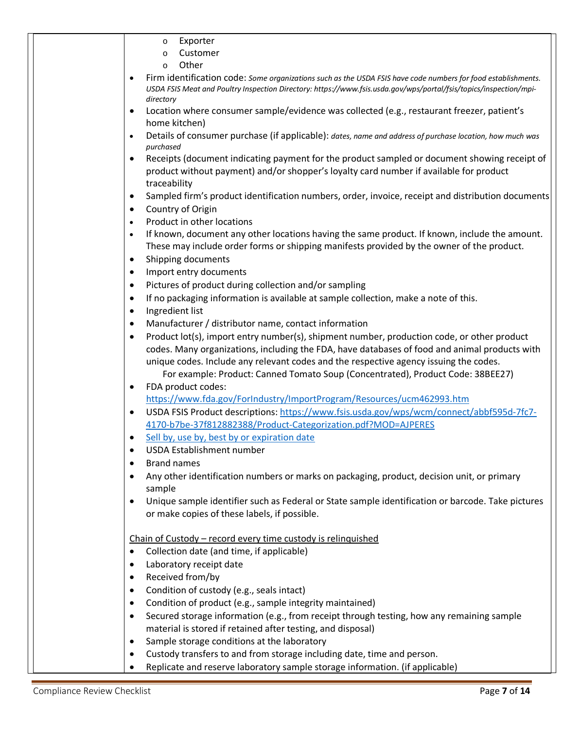|                        | Exporter<br>$\circ$                                                                                                                                                      |
|------------------------|--------------------------------------------------------------------------------------------------------------------------------------------------------------------------|
|                        | Customer<br>$\circ$                                                                                                                                                      |
|                        | Other<br>$\circ$                                                                                                                                                         |
| $\bullet$              | Firm identification code: Some organizations such as the USDA FSIS have code numbers for food establishments.                                                            |
|                        | USDA FSIS Meat and Poultry Inspection Directory: https://www.fsis.usda.gov/wps/portal/fsis/topics/inspection/mpi-                                                        |
|                        | directory                                                                                                                                                                |
| $\bullet$              | Location where consumer sample/evidence was collected (e.g., restaurant freezer, patient's<br>home kitchen)                                                              |
|                        | Details of consumer purchase (if applicable): dates, name and address of purchase location, how much was                                                                 |
|                        | purchased                                                                                                                                                                |
|                        | Receipts (document indicating payment for the product sampled or document showing receipt of                                                                             |
|                        | product without payment) and/or shopper's loyalty card number if available for product                                                                                   |
|                        | traceability                                                                                                                                                             |
| $\bullet$              | Sampled firm's product identification numbers, order, invoice, receipt and distribution documents                                                                        |
| $\bullet$              | Country of Origin                                                                                                                                                        |
| $\bullet$              | Product in other locations                                                                                                                                               |
| $\bullet$              | If known, document any other locations having the same product. If known, include the amount.                                                                            |
|                        | These may include order forms or shipping manifests provided by the owner of the product.                                                                                |
| $\bullet$              | Shipping documents                                                                                                                                                       |
| $\bullet$              | Import entry documents                                                                                                                                                   |
| $\bullet$              | Pictures of product during collection and/or sampling                                                                                                                    |
| $\bullet$              | If no packaging information is available at sample collection, make a note of this.                                                                                      |
| $\bullet$              | Ingredient list                                                                                                                                                          |
| $\bullet$              | Manufacturer / distributor name, contact information                                                                                                                     |
|                        | Product lot(s), import entry number(s), shipment number, production code, or other product                                                                               |
|                        | codes. Many organizations, including the FDA, have databases of food and animal products with                                                                            |
|                        | unique codes. Include any relevant codes and the respective agency issuing the codes.<br>For example: Product: Canned Tomato Soup (Concentrated), Product Code: 38BEE27) |
|                        | FDA product codes:                                                                                                                                                       |
|                        | https://www.fda.gov/ForIndustry/ImportProgram/Resources/ucm462993.htm                                                                                                    |
| $\bullet$              | USDA FSIS Product descriptions: https://www.fsis.usda.gov/wps/wcm/connect/abbf595d-7fc7-                                                                                 |
|                        | 4170-b7be-37f812882388/Product-Categorization.pdf?MOD=AJPERES                                                                                                            |
|                        | Sell by, use by, best by or expiration date                                                                                                                              |
| $\bullet$              | <b>USDA Establishment number</b>                                                                                                                                         |
|                        | <b>Brand names</b>                                                                                                                                                       |
|                        | Any other identification numbers or marks on packaging, product, decision unit, or primary                                                                               |
|                        | sample                                                                                                                                                                   |
| $\bullet$              | Unique sample identifier such as Federal or State sample identification or barcode. Take pictures                                                                        |
|                        | or make copies of these labels, if possible.                                                                                                                             |
|                        |                                                                                                                                                                          |
|                        | Chain of Custody - record every time custody is relinquished                                                                                                             |
|                        | Collection date (and time, if applicable)                                                                                                                                |
|                        | Laboratory receipt date                                                                                                                                                  |
|                        | Received from/by                                                                                                                                                         |
| $\bullet$              | Condition of custody (e.g., seals intact)                                                                                                                                |
| $\bullet$<br>$\bullet$ | Condition of product (e.g., sample integrity maintained)<br>Secured storage information (e.g., from receipt through testing, how any remaining sample                    |
|                        | material is stored if retained after testing, and disposal)                                                                                                              |
| ٠                      | Sample storage conditions at the laboratory                                                                                                                              |
| $\bullet$              | Custody transfers to and from storage including date, time and person.                                                                                                   |
|                        | Replicate and reserve laboratory sample storage information. (if applicable)                                                                                             |
|                        |                                                                                                                                                                          |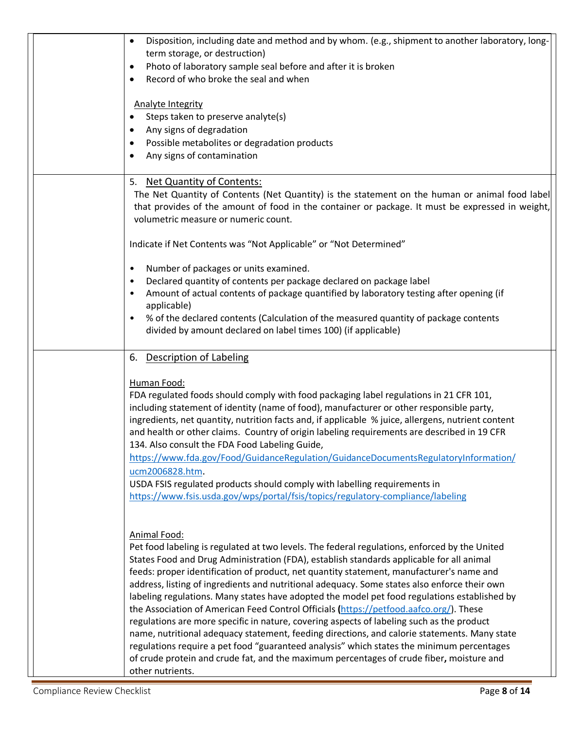| Disposition, including date and method and by whom. (e.g., shipment to another laboratory, long-<br>$\bullet$<br>term storage, or destruction)<br>Photo of laboratory sample seal before and after it is broken<br>٠<br>Record of who broke the seal and when<br>$\bullet$<br><b>Analyte Integrity</b><br>Steps taken to preserve analyte(s)<br>Any signs of degradation<br>$\bullet$<br>Possible metabolites or degradation products<br>٠<br>Any signs of contamination<br>$\bullet$                                                                                                                                                                                                                                                                                                                                                                                                                                                                                                                     |
|-----------------------------------------------------------------------------------------------------------------------------------------------------------------------------------------------------------------------------------------------------------------------------------------------------------------------------------------------------------------------------------------------------------------------------------------------------------------------------------------------------------------------------------------------------------------------------------------------------------------------------------------------------------------------------------------------------------------------------------------------------------------------------------------------------------------------------------------------------------------------------------------------------------------------------------------------------------------------------------------------------------|
| 5. Net Quantity of Contents:<br>The Net Quantity of Contents (Net Quantity) is the statement on the human or animal food label<br>that provides of the amount of food in the container or package. It must be expressed in weight,<br>volumetric measure or numeric count.<br>Indicate if Net Contents was "Not Applicable" or "Not Determined"<br>Number of packages or units examined.<br>٠                                                                                                                                                                                                                                                                                                                                                                                                                                                                                                                                                                                                             |
| Declared quantity of contents per package declared on package label<br>$\bullet$<br>Amount of actual contents of package quantified by laboratory testing after opening (if<br>٠<br>applicable)<br>% of the declared contents (Calculation of the measured quantity of package contents<br>$\bullet$<br>divided by amount declared on label times 100) (if applicable)                                                                                                                                                                                                                                                                                                                                                                                                                                                                                                                                                                                                                                    |
| 6. Description of Labeling<br>Human Food:<br>FDA regulated foods should comply with food packaging label regulations in 21 CFR 101,<br>including statement of identity (name of food), manufacturer or other responsible party,<br>ingredients, net quantity, nutrition facts and, if applicable % juice, allergens, nutrient content<br>and health or other claims. Country of origin labeling requirements are described in 19 CFR<br>134. Also consult the FDA Food Labeling Guide,<br>https://www.fda.gov/Food/GuidanceRegulation/GuidanceDocumentsRegulatoryInformation/<br>ucm2006828.htm.<br>USDA FSIS regulated products should comply with labelling requirements in<br>https://www.fsis.usda.gov/wps/portal/fsis/topics/regulatory-compliance/labeling                                                                                                                                                                                                                                          |
| Animal Food:<br>Pet food labeling is regulated at two levels. The federal regulations, enforced by the United<br>States Food and Drug Administration (FDA), establish standards applicable for all animal<br>feeds: proper identification of product, net quantity statement, manufacturer's name and<br>address, listing of ingredients and nutritional adequacy. Some states also enforce their own<br>labeling regulations. Many states have adopted the model pet food regulations established by<br>the Association of American Feed Control Officials (https://petfood.aafco.org/). These<br>regulations are more specific in nature, covering aspects of labeling such as the product<br>name, nutritional adequacy statement, feeding directions, and calorie statements. Many state<br>regulations require a pet food "guaranteed analysis" which states the minimum percentages<br>of crude protein and crude fat, and the maximum percentages of crude fiber, moisture and<br>other nutrients. |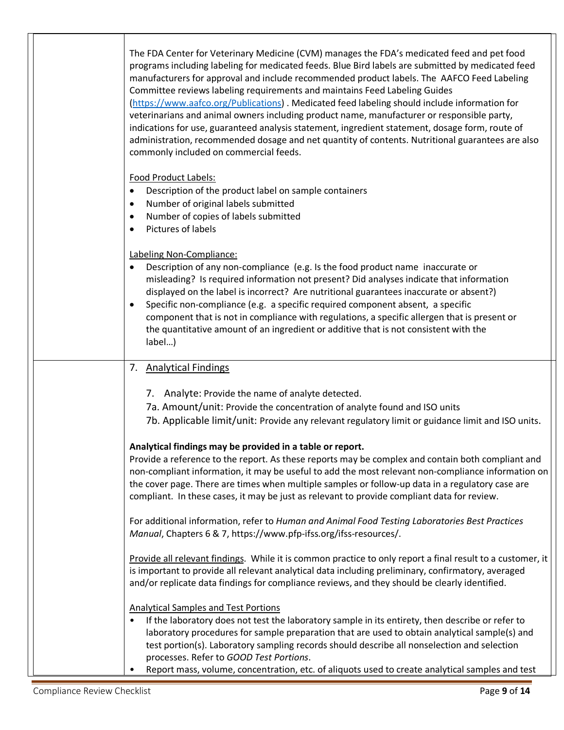|  | The FDA Center for Veterinary Medicine (CVM) manages the FDA's medicated feed and pet food<br>programs including labeling for medicated feeds. Blue Bird labels are submitted by medicated feed<br>manufacturers for approval and include recommended product labels. The AAFCO Feed Labeling<br>Committee reviews labeling requirements and maintains Feed Labeling Guides<br>(https://www.aafco.org/Publications). Medicated feed labeling should include information for<br>veterinarians and animal owners including product name, manufacturer or responsible party,<br>indications for use, guaranteed analysis statement, ingredient statement, dosage form, route of<br>administration, recommended dosage and net quantity of contents. Nutritional guarantees are also<br>commonly included on commercial feeds. |
|--|----------------------------------------------------------------------------------------------------------------------------------------------------------------------------------------------------------------------------------------------------------------------------------------------------------------------------------------------------------------------------------------------------------------------------------------------------------------------------------------------------------------------------------------------------------------------------------------------------------------------------------------------------------------------------------------------------------------------------------------------------------------------------------------------------------------------------|
|  | Food Product Labels:<br>Description of the product label on sample containers<br>$\bullet$<br>Number of original labels submitted<br>Number of copies of labels submitted<br>Pictures of labels<br>$\bullet$                                                                                                                                                                                                                                                                                                                                                                                                                                                                                                                                                                                                               |
|  | Labeling Non-Compliance:<br>Description of any non-compliance (e.g. Is the food product name inaccurate or<br>misleading? Is required information not present? Did analyses indicate that information<br>displayed on the label is incorrect? Are nutritional guarantees inaccurate or absent?)<br>Specific non-compliance (e.g. a specific required component absent, a specific<br>component that is not in compliance with regulations, a specific allergen that is present or<br>the quantitative amount of an ingredient or additive that is not consistent with the<br>label)                                                                                                                                                                                                                                        |
|  | 7. Analytical Findings                                                                                                                                                                                                                                                                                                                                                                                                                                                                                                                                                                                                                                                                                                                                                                                                     |
|  | 7. Analyte: Provide the name of analyte detected.<br>7a. Amount/unit: Provide the concentration of analyte found and ISO units<br>7b. Applicable limit/unit: Provide any relevant regulatory limit or guidance limit and ISO units.                                                                                                                                                                                                                                                                                                                                                                                                                                                                                                                                                                                        |
|  | Analytical findings may be provided in a table or report.<br>Provide a reference to the report. As these reports may be complex and contain both compliant and<br>non-compliant information, it may be useful to add the most relevant non-compliance information on<br>the cover page. There are times when multiple samples or follow-up data in a regulatory case are<br>compliant. In these cases, it may be just as relevant to provide compliant data for review.                                                                                                                                                                                                                                                                                                                                                    |
|  | For additional information, refer to Human and Animal Food Testing Laboratories Best Practices<br>Manual, Chapters 6 & 7, https://www.pfp-ifss.org/ifss-resources/.                                                                                                                                                                                                                                                                                                                                                                                                                                                                                                                                                                                                                                                        |
|  | Provide all relevant findings. While it is common practice to only report a final result to a customer, it<br>is important to provide all relevant analytical data including preliminary, confirmatory, averaged<br>and/or replicate data findings for compliance reviews, and they should be clearly identified.                                                                                                                                                                                                                                                                                                                                                                                                                                                                                                          |
|  | <b>Analytical Samples and Test Portions</b><br>If the laboratory does not test the laboratory sample in its entirety, then describe or refer to<br>laboratory procedures for sample preparation that are used to obtain analytical sample(s) and<br>test portion(s). Laboratory sampling records should describe all nonselection and selection<br>processes. Refer to GOOD Test Portions.<br>Report mass, volume, concentration, etc. of aliquots used to create analytical samples and test<br>٠                                                                                                                                                                                                                                                                                                                         |

Г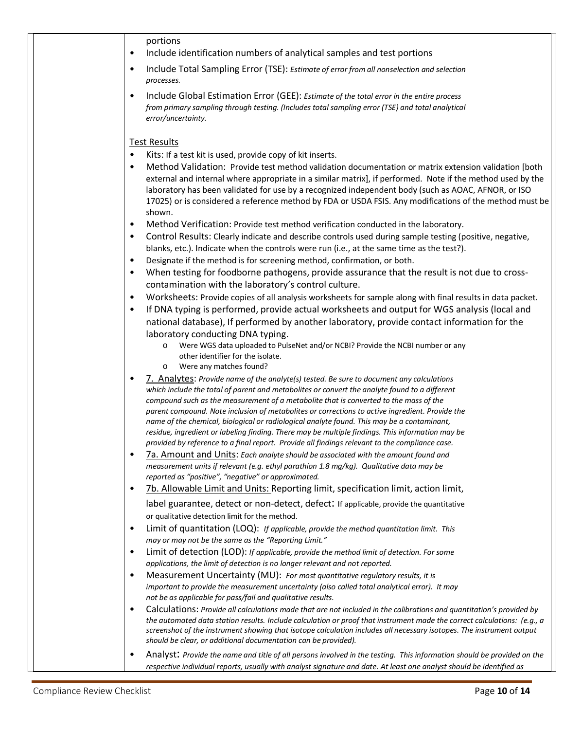| portions<br>Include identification numbers of analytical samples and test portions<br>$\bullet$                                                                                                                                     |
|-------------------------------------------------------------------------------------------------------------------------------------------------------------------------------------------------------------------------------------|
|                                                                                                                                                                                                                                     |
| Include Total Sampling Error (TSE): Estimate of error from all nonselection and selection<br>$\bullet$<br>processes.                                                                                                                |
| Include Global Estimation Error (GEE): Estimate of the total error in the entire process<br>$\bullet$                                                                                                                               |
| from primary sampling through testing. (Includes total sampling error (TSE) and total analytical                                                                                                                                    |
| error/uncertainty.                                                                                                                                                                                                                  |
| <b>Test Results</b>                                                                                                                                                                                                                 |
| Kits: If a test kit is used, provide copy of kit inserts.<br>$\bullet$                                                                                                                                                              |
| Method Validation: Provide test method validation documentation or matrix extension validation [both<br>$\bullet$                                                                                                                   |
| external and internal where appropriate in a similar matrix], if performed. Note if the method used by the<br>laboratory has been validated for use by a recognized independent body (such as AOAC, AFNOR, or ISO                   |
| 17025) or is considered a reference method by FDA or USDA FSIS. Any modifications of the method must be                                                                                                                             |
| shown.                                                                                                                                                                                                                              |
| Method Verification: Provide test method verification conducted in the laboratory.<br>$\bullet$                                                                                                                                     |
| Control Results: Clearly indicate and describe controls used during sample testing (positive, negative,<br>$\bullet$<br>blanks, etc.). Indicate when the controls were run (i.e., at the same time as the test?).                   |
| Designate if the method is for screening method, confirmation, or both.<br>$\bullet$                                                                                                                                                |
| When testing for foodborne pathogens, provide assurance that the result is not due to cross-<br>$\bullet$                                                                                                                           |
| contamination with the laboratory's control culture.                                                                                                                                                                                |
| Worksheets: Provide copies of all analysis worksheets for sample along with final results in data packet.<br>$\bullet$<br>If DNA typing is performed, provide actual worksheets and output for WGS analysis (local and<br>$\bullet$ |
| national database), If performed by another laboratory, provide contact information for the                                                                                                                                         |
| laboratory conducting DNA typing.                                                                                                                                                                                                   |
| Were WGS data uploaded to PulseNet and/or NCBI? Provide the NCBI number or any                                                                                                                                                      |
| other identifier for the isolate.                                                                                                                                                                                                   |
| Were any matches found?<br>$\circ$<br>7. Analytes: Provide name of the analyte(s) tested. Be sure to document any calculations<br>٠                                                                                                 |
| which include the total of parent and metabolites or convert the analyte found to a different                                                                                                                                       |
| compound such as the measurement of a metabolite that is converted to the mass of the                                                                                                                                               |
| parent compound. Note inclusion of metabolites or corrections to active ingredient. Provide the<br>name of the chemical, biological or radiological analyte found. This may be a contaminant,                                       |
| residue, ingredient or labeling finding. There may be multiple findings. This information may be                                                                                                                                    |
| provided by reference to a final report. Provide all findings relevant to the compliance case.                                                                                                                                      |
| 7a. Amount and Units: Each analyte should be associated with the amount found and<br>$\bullet$<br>measurement units if relevant (e.g. ethyl parathion 1.8 mg/kg). Qualitative data may be                                           |
| reported as "positive", "negative" or approximated.                                                                                                                                                                                 |
| 7b. Allowable Limit and Units: Reporting limit, specification limit, action limit,<br>$\bullet$                                                                                                                                     |
| label guarantee, detect or non-detect, defect: If applicable, provide the quantitative                                                                                                                                              |
| or qualitative detection limit for the method.<br>$\bullet$                                                                                                                                                                         |
| Limit of quantitation (LOQ): If applicable, provide the method quantitation limit. This<br>may or may not be the same as the "Reporting Limit."                                                                                     |
| Limit of detection (LOD): If applicable, provide the method limit of detection. For some<br>$\bullet$                                                                                                                               |
| applications, the limit of detection is no longer relevant and not reported.                                                                                                                                                        |
| Measurement Uncertainty (MU): For most quantitative regulatory results, it is<br>$\bullet$                                                                                                                                          |
| important to provide the measurement uncertainty (also called total analytical error). It may<br>not be as applicable for pass/fail and qualitative results.                                                                        |
| Calculations: Provide all calculations made that are not included in the calibrations and quantitation's provided by<br>$\bullet$                                                                                                   |
| the automated data station results. Include calculation or proof that instrument made the correct calculations: (e.g., a                                                                                                            |
| screenshot of the instrument showing that isotope calculation includes all necessary isotopes. The instrument output<br>should be clear, or additional documentation can be provided).                                              |
| Analyst: Provide the name and title of all persons involved in the testing. This information should be provided on the<br>٠                                                                                                         |
| respective individual reports, usually with analyst signature and date. At least one analyst should be identified as                                                                                                                |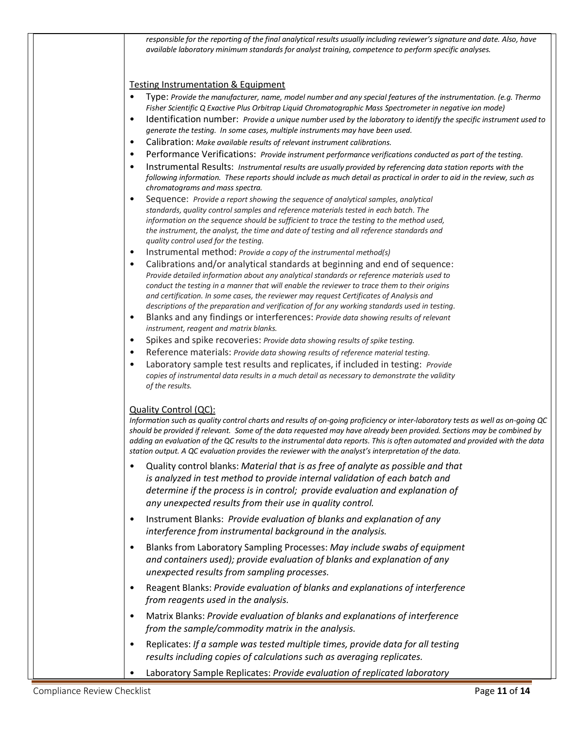| responsible for the reporting of the final analytical results usually including reviewer's signature and date. Also, have<br>available laboratory minimum standards for analyst training, competence to perform specific analyses.                                                                                                                                                                                                                                                                                        |
|---------------------------------------------------------------------------------------------------------------------------------------------------------------------------------------------------------------------------------------------------------------------------------------------------------------------------------------------------------------------------------------------------------------------------------------------------------------------------------------------------------------------------|
| <b>Testing Instrumentation &amp; Equipment</b>                                                                                                                                                                                                                                                                                                                                                                                                                                                                            |
| Type: Provide the manufacturer, name, model number and any special features of the instrumentation. (e.g. Thermo<br>Fisher Scientific Q Exactive Plus Orbitrap Liquid Chromatographic Mass Spectrometer in negative ion mode)                                                                                                                                                                                                                                                                                             |
| Identification number: Provide a unique number used by the laboratory to identify the specific instrument used to<br>generate the testing. In some cases, multiple instruments may have been used.                                                                                                                                                                                                                                                                                                                        |
| Calibration: Make available results of relevant instrument calibrations.<br>$\bullet$                                                                                                                                                                                                                                                                                                                                                                                                                                     |
| Performance Verifications: Provide instrument performance verifications conducted as part of the testing.<br>$\bullet$<br>Instrumental Results: Instrumental results are usually provided by referencing data station reports with the<br>$\bullet$<br>following information. These reports should include as much detail as practical in order to aid in the review, such as<br>chromatograms and mass spectra.                                                                                                          |
| Sequence: Provide a report showing the sequence of analytical samples, analytical<br>$\bullet$<br>standards, quality control samples and reference materials tested in each batch. The<br>information on the sequence should be sufficient to trace the testing to the method used,<br>the instrument, the analyst, the time and date of testing and all reference standards and<br>quality control used for the testing.                                                                                                 |
| Instrumental method: Provide a copy of the instrumental method(s)                                                                                                                                                                                                                                                                                                                                                                                                                                                         |
| Calibrations and/or analytical standards at beginning and end of sequence:<br>$\bullet$<br>Provide detailed information about any analytical standards or reference materials used to<br>conduct the testing in a manner that will enable the reviewer to trace them to their origins<br>and certification. In some cases, the reviewer may request Certificates of Analysis and<br>descriptions of the preparation and verification of for any working standards used in testing.                                        |
| Blanks and any findings or interferences: Provide data showing results of relevant<br>$\bullet$<br>instrument, reagent and matrix blanks.                                                                                                                                                                                                                                                                                                                                                                                 |
| Spikes and spike recoveries: Provide data showing results of spike testing.                                                                                                                                                                                                                                                                                                                                                                                                                                               |
| Reference materials: Provide data showing results of reference material testing.<br>Laboratory sample test results and replicates, if included in testing: Provide<br>$\bullet$<br>copies of instrumental data results in a much detail as necessary to demonstrate the validity<br>of the results.                                                                                                                                                                                                                       |
| Quality Control (QC):<br>Information such as quality control charts and results of on-going proficiency or inter-laboratory tests as well as on-going QC<br>should be provided if relevant. Some of the data requested may have already been provided. Sections may be combined by<br>adding an evaluation of the QC results to the instrumental data reports. This is often automated and provided with the data<br>station output. A QC evaluation provides the reviewer with the analyst's interpretation of the data. |
| Quality control blanks: Material that is as free of analyte as possible and that<br>is analyzed in test method to provide internal validation of each batch and<br>determine if the process is in control; provide evaluation and explanation of<br>any unexpected results from their use in quality control.                                                                                                                                                                                                             |
| Instrument Blanks: Provide evaluation of blanks and explanation of any<br>$\bullet$<br>interference from instrumental background in the analysis.                                                                                                                                                                                                                                                                                                                                                                         |
| Blanks from Laboratory Sampling Processes: May include swabs of equipment<br>$\bullet$<br>and containers used); provide evaluation of blanks and explanation of any<br>unexpected results from sampling processes.                                                                                                                                                                                                                                                                                                        |
| Reagent Blanks: Provide evaluation of blanks and explanations of interference<br>$\bullet$<br>from reagents used in the analysis.                                                                                                                                                                                                                                                                                                                                                                                         |
| Matrix Blanks: Provide evaluation of blanks and explanations of interference<br>$\bullet$<br>from the sample/commodity matrix in the analysis.                                                                                                                                                                                                                                                                                                                                                                            |
| Replicates: If a sample was tested multiple times, provide data for all testing<br>results including copies of calculations such as averaging replicates.                                                                                                                                                                                                                                                                                                                                                                 |
| Laboratory Sample Replicates: Provide evaluation of replicated laboratory                                                                                                                                                                                                                                                                                                                                                                                                                                                 |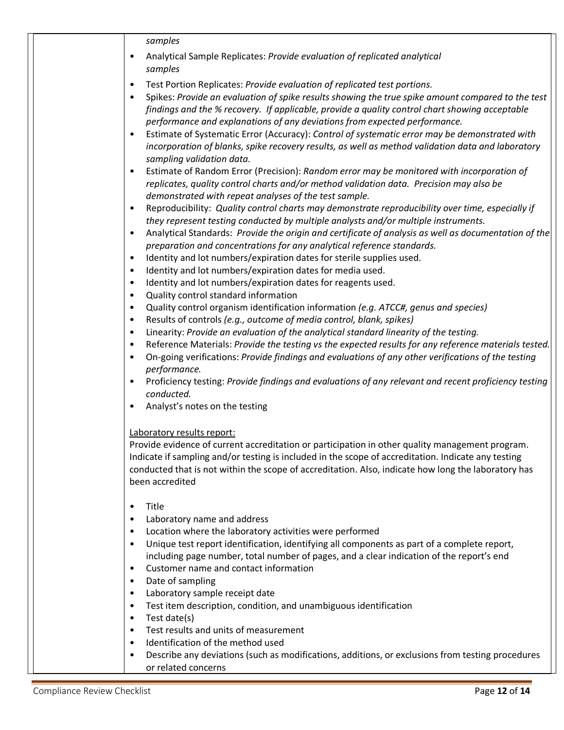|  | samples                                                                                                                                                                                                         |  |
|--|-----------------------------------------------------------------------------------------------------------------------------------------------------------------------------------------------------------------|--|
|  | Analytical Sample Replicates: Provide evaluation of replicated analytical<br>$\bullet$<br>samples                                                                                                               |  |
|  | Test Portion Replicates: Provide evaluation of replicated test portions.<br>$\bullet$                                                                                                                           |  |
|  | Spikes: Provide an evaluation of spike results showing the true spike amount compared to the test<br>$\bullet$                                                                                                  |  |
|  | findings and the % recovery. If applicable, provide a quality control chart showing acceptable                                                                                                                  |  |
|  | performance and explanations of any deviations from expected performance.                                                                                                                                       |  |
|  | Estimate of Systematic Error (Accuracy): Control of systematic error may be demonstrated with<br>$\bullet$<br>incorporation of blanks, spike recovery results, as well as method validation data and laboratory |  |
|  | sampling validation data.<br>Estimate of Random Error (Precision): Random error may be monitored with incorporation of<br>$\bullet$                                                                             |  |
|  | replicates, quality control charts and/or method validation data. Precision may also be<br>demonstrated with repeat analyses of the test sample.                                                                |  |
|  | Reproducibility: Quality control charts may demonstrate reproducibility over time, especially if<br>$\bullet$                                                                                                   |  |
|  | they represent testing conducted by multiple analysts and/or multiple instruments.                                                                                                                              |  |
|  | Analytical Standards: Provide the origin and certificate of analysis as well as documentation of the<br>$\bullet$                                                                                               |  |
|  | preparation and concentrations for any analytical reference standards.                                                                                                                                          |  |
|  | Identity and lot numbers/expiration dates for sterile supplies used.<br>٠                                                                                                                                       |  |
|  | Identity and lot numbers/expiration dates for media used.<br>٠<br>$\bullet$                                                                                                                                     |  |
|  | Identity and lot numbers/expiration dates for reagents used.<br>Quality control standard information<br>$\bullet$                                                                                               |  |
|  | Quality control organism identification information (e.g. ATCC#, genus and species)<br>$\bullet$                                                                                                                |  |
|  | Results of controls (e.g., outcome of media control, blank, spikes)<br>$\bullet$                                                                                                                                |  |
|  | Linearity: Provide an evaluation of the analytical standard linearity of the testing.<br>$\bullet$                                                                                                              |  |
|  | Reference Materials: Provide the testing vs the expected results for any reference materials tested.<br>$\bullet$                                                                                               |  |
|  | On-going verifications: Provide findings and evaluations of any other verifications of the testing<br>$\bullet$<br>performance.                                                                                 |  |
|  | Proficiency testing: Provide findings and evaluations of any relevant and recent proficiency testing<br>$\bullet$                                                                                               |  |
|  | conducted.                                                                                                                                                                                                      |  |
|  | Analyst's notes on the testing<br>$\bullet$                                                                                                                                                                     |  |
|  | Laboratory results report:                                                                                                                                                                                      |  |
|  | Provide evidence of current accreditation or participation in other quality management program.                                                                                                                 |  |
|  | Indicate if sampling and/or testing is included in the scope of accreditation. Indicate any testing                                                                                                             |  |
|  | conducted that is not within the scope of accreditation. Also, indicate how long the laboratory has                                                                                                             |  |
|  | been accredited                                                                                                                                                                                                 |  |
|  | Title<br>$\bullet$                                                                                                                                                                                              |  |
|  | Laboratory name and address<br>٠                                                                                                                                                                                |  |
|  | Location where the laboratory activities were performed<br>٠                                                                                                                                                    |  |
|  | Unique test report identification, identifying all components as part of a complete report,<br>$\bullet$                                                                                                        |  |
|  | including page number, total number of pages, and a clear indication of the report's end                                                                                                                        |  |
|  | Customer name and contact information<br>٠                                                                                                                                                                      |  |
|  | Date of sampling<br>$\bullet$                                                                                                                                                                                   |  |
|  | Laboratory sample receipt date<br>$\bullet$                                                                                                                                                                     |  |
|  | Test item description, condition, and unambiguous identification<br>$\bullet$                                                                                                                                   |  |
|  | Test date(s)<br>$\bullet$<br>Test results and units of measurement<br>$\bullet$                                                                                                                                 |  |
|  | Identification of the method used<br>٠                                                                                                                                                                          |  |
|  | Describe any deviations (such as modifications, additions, or exclusions from testing procedures<br>$\bullet$                                                                                                   |  |
|  | or related concerns                                                                                                                                                                                             |  |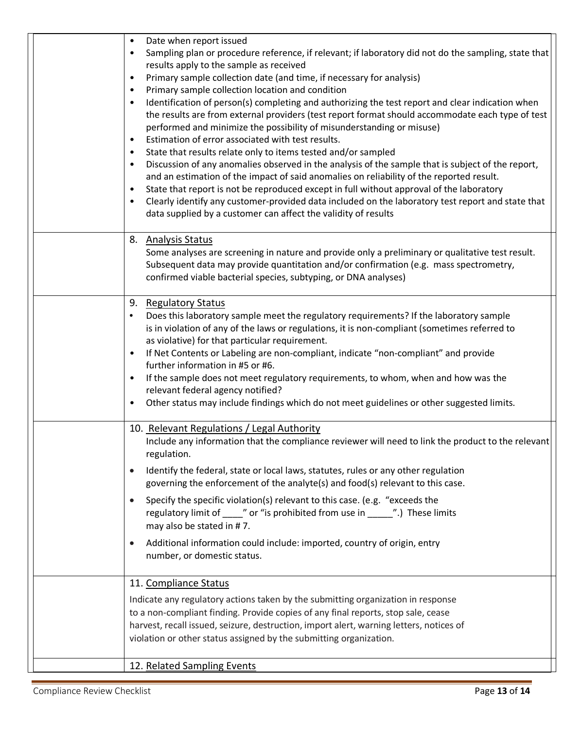| Date when report issued<br>$\bullet$<br>Sampling plan or procedure reference, if relevant; if laboratory did not do the sampling, state that<br>$\bullet$<br>results apply to the sample as received<br>Primary sample collection date (and time, if necessary for analysis)<br>$\bullet$<br>Primary sample collection location and condition<br>Identification of person(s) completing and authorizing the test report and clear indication when<br>$\bullet$<br>the results are from external providers (test report format should accommodate each type of test<br>performed and minimize the possibility of misunderstanding or misuse)<br>Estimation of error associated with test results. |
|--------------------------------------------------------------------------------------------------------------------------------------------------------------------------------------------------------------------------------------------------------------------------------------------------------------------------------------------------------------------------------------------------------------------------------------------------------------------------------------------------------------------------------------------------------------------------------------------------------------------------------------------------------------------------------------------------|
| State that results relate only to items tested and/or sampled<br>Discussion of any anomalies observed in the analysis of the sample that is subject of the report,<br>and an estimation of the impact of said anomalies on reliability of the reported result.<br>State that report is not be reproduced except in full without approval of the laboratory<br>Clearly identify any customer-provided data included on the laboratory test report and state that<br>data supplied by a customer can affect the validity of results                                                                                                                                                                |
| <b>Analysis Status</b><br>8.<br>Some analyses are screening in nature and provide only a preliminary or qualitative test result.<br>Subsequent data may provide quantitation and/or confirmation (e.g. mass spectrometry,<br>confirmed viable bacterial species, subtyping, or DNA analyses)                                                                                                                                                                                                                                                                                                                                                                                                     |
| 9. Regulatory Status<br>Does this laboratory sample meet the regulatory requirements? If the laboratory sample<br>$\bullet$<br>is in violation of any of the laws or regulations, it is non-compliant (sometimes referred to<br>as violative) for that particular requirement.<br>If Net Contents or Labeling are non-compliant, indicate "non-compliant" and provide<br>further information in #5 or #6.<br>If the sample does not meet regulatory requirements, to whom, when and how was the<br>$\bullet$<br>relevant federal agency notified?<br>Other status may include findings which do not meet guidelines or other suggested limits.                                                   |
| 10. Relevant Regulations / Legal Authority<br>Include any information that the compliance reviewer will need to link the product to the relevant<br>regulation.<br>Identify the federal, state or local laws, statutes, rules or any other regulation<br>$\bullet$<br>governing the enforcement of the analyte(s) and food(s) relevant to this case.<br>Specify the specific violation(s) relevant to this case. (e.g. "exceeds the<br>regulatory limit of _____" or "is prohibited from use in ______".) These limits<br>may also be stated in #7.<br>Additional information could include: imported, country of origin, entry<br>$\bullet$<br>number, or domestic status.                      |
| 11. Compliance Status<br>Indicate any regulatory actions taken by the submitting organization in response<br>to a non-compliant finding. Provide copies of any final reports, stop sale, cease<br>harvest, recall issued, seizure, destruction, import alert, warning letters, notices of<br>violation or other status assigned by the submitting organization.<br>12. Related Sampling Events                                                                                                                                                                                                                                                                                                   |